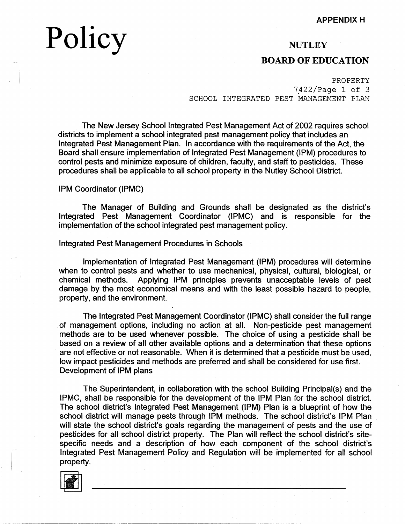# Policy

: I

 $\sim$  1.  $\mathbf{I}$ 

 $\vert$ 

# **NUTLEY**

# **BOARD OF EDUCATION**

#### PROPERTY

7422/Page 1 of 3 SCHOOL INTEGRATED PEST MANAGEMENT PLAN

The New Jersey School Integrated Pest Management Act of 2002 requires school districts to implement a school integrated pest management policy that includes an Integrated Pest Management Plan. In accordance with the requirements of the Act, the Board shall ensure implementation of Integrated Pest Management (1PM) procedures to control pests and minimize exposure of children, faculty, and staff to pesticides. These procedures shall be applicable to all school property in the Nutley School District.

1PM Coordinator (IPMC)

The Manager of Building and Grounds shall be designated as the district's Integrated Pest Management Coordinator (IPMC) and is responsible for the implementation of the school integrated pest management policy.

#### Integrated Pest Management Procedures in Schools

Implementation of Integrated Pest Management (1PM) procedures will determine when to control pests and whether to use mechanical, physical, cultural, biological, or chemical methods. Applying 1PM principles prevents unacceptable levels of pest damage by the most economical means and with the least possible hazard to people, property, and the environment.

The Integrated Pest Management Coordinator (IPMC) shall consider the full range of management options, including no action at all. Non-pesticide pest management methods are to be used whenever possible. The choice of using a pesticide shall be based on a review of all other available options and a determination that these options are not effective or not reasonable. When it is determined that a pesticide must be used, low impact pesticides and methods are preferred and shall be considered for use first. Development of 1PM plans

The Superintendent, in collaboration with the school Building Principal(s) and the IPMC, shall be responsible for the development of the 1PM Plan for the school district. The school district's Integrated Pest Management (1PM) Plan is a blueprint of how the school district will manage pests through 1PM methods. The school district's 1PM Plan will state the school district's goals regarding the management of pests and the use of pesticides for all school district property. The Plan will reflect the school district's sitespecific needs and a description of how each component of the school district's Integrated Pest Management Policy and Regulation will be implemented for all school property.

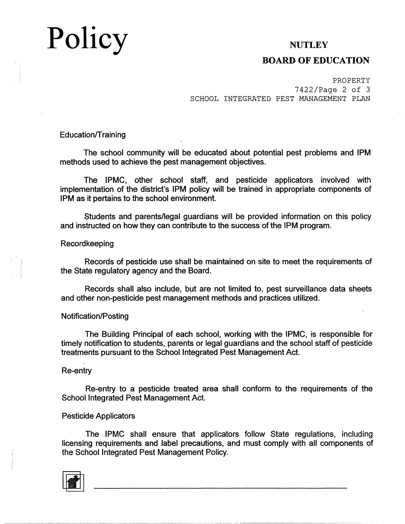# Policy

# **NUTLEY**

### **BOARD OF EDUCATION**

PROPERTY 7422/Page 2 of 3 SCHOOL INTEGRATED PEST MANAGEMENT PLAN

Education/Training

The school community will be educated about potential pest problems and 1PM methods used to achieve the pest management objectives.

The IPMC, other school staff, and pesticide applicators involved with implementation of the district's 1PM policy will be trained in appropriate components of IPM as it pertains to the school environment.

Students and parents/legal guardians will be provided information on this policy and instructed on how they can contribute to the success of the 1PM program.

#### Recordkeeping

Records of pesticide use shall be maintained on site to meet the requirements of the State regulatory agency and the Board.

Records shall also include, but are not limited to, pest surveillance data sheets and other non-pesticide pest management methods and practices utilized.

#### Notification/Posting

The Building Principal of each school, working with the IPMC, is responsible for timely notification to students, parents or legal guardians and the school staff of pesticide treatments pursuant to the School Integrated Pest Management Act.

Re-entry

Re-entry to a pesticide treated area shall conform to the requirements of the School Integrated Pest Management Act.

#### Pesticide Applicators

The IPMC shall ensure that applicators follow State regulations, including licensing requirements and label precautions, and must comply with all components of the School Integrated Pest Management Policy.